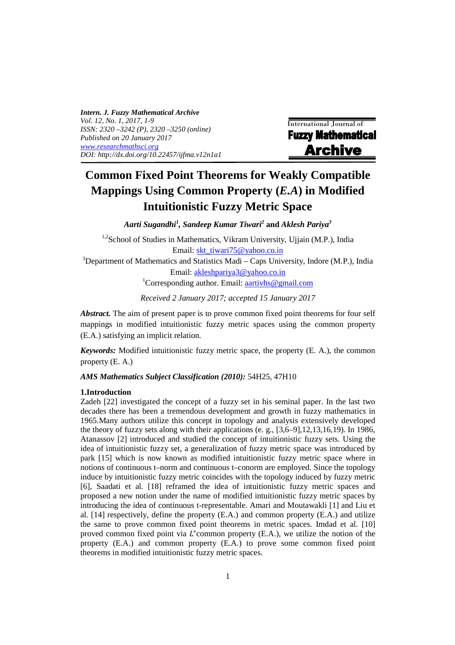*Intern. J. Fuzzy Mathematical Archive Vol. 12, No. 1, 2017, 1-9 ISSN: 2320 –3242 (P), 2320 –3250 (online) Published on 20 January 2017 www.researchmathsci.org DOI: http://dx.doi.org/10.22457/ijfma.v12n1a1* 

International Journal of **Fuzzy Mathematical Archive** 

# **Common Fixed Point Theorems for Weakly Compatible Mappings Using Common Property (***E.A***) in Modified Intuitionistic Fuzzy Metric Space**

*Aarti Sugandhi<sup>1</sup> , Sandeep Kumar Tiwari<sup>2</sup>* **and** *Aklesh Pariya<sup>3</sup>*

<sup>1,2</sup>School of Studies in Mathematics, Vikram University, Ujjain (M.P.), India Email: skt\_tiwari75@yahoo.co.in  $3$ Department of Mathematics and Statistics Madi – Caps University, Indore (M.P.), India Email: akleshpariya3@yahoo.co.in <sup>1</sup>Corresponding author. Email:  $a$ artivhs@gmail.com

*Received 2 January 2017; accepted 15 January 2017* 

*Abstract.* The aim of present paper is to prove common fixed point theorems for four self mappings in modified intuitionistic fuzzy metric spaces using the common property (E.A.) satisfying an implicit relation.

*Keywords:* Modified intuitionistic fuzzy metric space, the property (E. A.), the common property (E. A.)

## *AMS Mathematics Subject Classification (2010):* 54H25, 47H10

#### **1.Introduction**

Zadeh [22] investigated the concept of a fuzzy set in his seminal paper. In the last two decades there has been a tremendous development and growth in fuzzy mathematics in 1965.Many authors utilize this concept in topology and analysis extensively developed the theory of fuzzy sets along with their applications (e. g., [3,6–9],12,13,16,19). In 1986, Atanassov [2] introduced and studied the concept of intuitionistic fuzzy sets. Using the idea of intuitionistic fuzzy set, a generalization of fuzzy metric space was introduced by park [15] which is now known as modified intuitionistic fuzzy metric space where in notions of continuous t–norm and continuous t–conorm are employed. Since the topology induce by intuitionistic fuzzy metric coincides with the topology induced by fuzzy metric [6], Saadati et al. [18] reframed the idea of intuitionistic fuzzy metric spaces and proposed a new notion under the name of modified intuitionistic fuzzy metric spaces by introducing the idea of continuous t-representable. Amari and Moutawakli [1] and Liu et al. [14] respectively, define the property (E.A.) and common property (E.A.) and utilize the same to prove common fixed point theorems in metric spaces. Imdad et al. [10] proved common fixed point via  $L^*$ common property (E.A.), we utilize the notion of the property (E.A.) and common property (E.A.) to prove some common fixed point theorems in modified intuitionistic fuzzy metric spaces.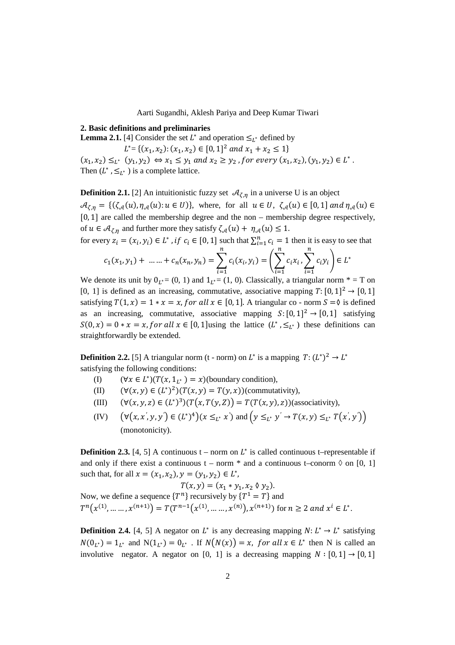#### **2. Basic definitions and preliminaries**

**Lemma 2.1.** [4] Consider the set  $L^*$  and operation  $\leq_{L^*}$  defined by

$$
L^* = \{ (x_1, x_2) : (x_1, x_2) \in [0, 1]^2 \text{ and } x_1 + x_2 \le 1 \}
$$

 $(x_1, x_2) \leq_L^* (y_1, y_2) \Leftrightarrow x_1 \leq y_1 \text{ and } x_2 \geq y_2 \text{, for every } (x_1, x_2), (y_1, y_2) \in L^*$ . Then  $(L^*, \leq_{L^*})$  is a complete lattice.

**Definition 2.1.** [2] An intuitionistic fuzzy set  $\mathcal{A}_{\zeta,\eta}$  in a universe U is an object  $\mathcal{A}_{\zeta,\eta} = \{(\zeta_{\mathcal{A}}(u), \eta_{\mathcal{A}}(u): u \in U)\},\$  where, for all  $u \in U, \zeta_{\mathcal{A}}(u) \in [0,1]$  and  $\eta_{\mathcal{A}}(u) \in$ [0, 1] are called the membership degree and the non – membership degree respectively, of  $u \in A_{\zeta n}$  and further more they satisfy  $\zeta_{\mathcal{A}}(u) + \eta_{\mathcal{A}}(u) \leq 1$ .

for every 
$$
z_i = (x_i, y_i) \in L^*
$$
, if  $c_i \in [0, 1]$  such that  $\sum_{i=1}^n c_i = 1$  then it is easy to see that

$$
c_1(x_1, y_1) + \dots + c_n(x_n, y_n) = \sum_{i=1}^n c_i(x_i, y_i) = \left(\sum_{i=1}^n c_i x_i, \sum_{i=1}^n c_i y_i\right) \in L^*
$$

We denote its unit by  $0_{L^*=}(0, 1)$  and  $1_{L^*=}(1, 0)$ . Classically, a triangular norm  $* = T$  on [0, 1] is defined as an increasing, commutative, associative mapping  $T: [0, 1]^2 \rightarrow [0, 1]$ satisfying  $T(1, x) = 1 * x = x$ , for all  $x \in [0, 1]$ . A triangular co - norm  $S = \emptyset$  is defined as an increasing, commutative, associative mapping  $S: [0, 1]^2 \rightarrow [0, 1]$  satisfying  $S(0, x) = 0 * x = x$ , for all  $x \in [0, 1]$  using the lattice  $(L^*, \leq_{L^*})$  these definitions can straightforwardly be extended.

**Definition 2.2.** [5] A triangular norm (t - norm) on  $L^*$  is a mapping  $T: (L^*)^2 \to L^*$ satisfying the following conditions:

- (I)  $(\forall x \in L^*)(T(x, 1_{L^*}) = x)$ (boundary condition),
- (II)  $(\forall (x, y) \in (L^*)^2)(T(x, y) = T(y, x))$  (commutativity),
- (III)  $(\forall (x, y, z) \in (L^*)^3)(T(x, T(y, Z)) = T(T(x, y), z))$  (associativity),
- $(V)$   $(\forall (x, x', y, y') \in (L^*)^4)(x \leq_{L^*} x')$  and  $(y \leq_{L^*} y' \to T(x, y) \leq_{L^*} T(x', y'))$ (monotonicity).

**Definition 2.3.** [4, 5] A continuous  $t$  – norm on  $L^*$  is called continuous t–representable if and only if there exist a continuous  $t - norm *$  and a continuous t–conorm  $\Diamond$  on [0, 1] such that, for all  $x = (x_1, x_2), y = (y_1, y_2) \in L^*$ ,

$$
T(x, y) = (x_1 * y_1, x_2 \, \emptyset \, y_2).
$$
  
Now, we define a sequence  $\{T^n\}$  recursively by  $\{T^1 = T\}$  and  

$$
T^n(x^{(1)}, \dots, x^{(n+1)}) = T(T^{n-1}(x^{(1)}, \dots, x^{(n)}), x^{(n+1)})
$$
 for  $n \ge 2$  and  $x^i \in L^*$ .

**Definition 2.4.** [4, 5] A negator on  $L^*$  is any decreasing mapping  $N: L^* \to L^*$  satisfying  $N(0_{L^*}) = 1_{L^*}$  and  $N(1_{L^*}) = 0_{L^*}$ . If  $N(N(x)) = x$ , for all  $x \in L^*$  then N is called an involutive negator. A negator on [0, 1] is a decreasing mapping  $N : [0, 1] \rightarrow [0, 1]$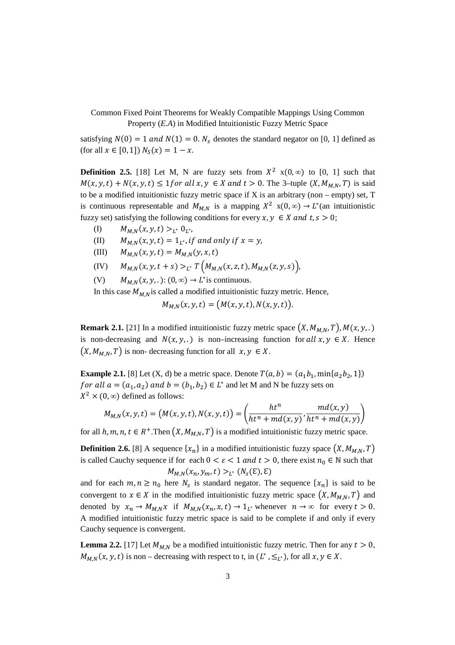satisfying  $N(0) = 1$  and  $N(1) = 0$ .  $N<sub>s</sub>$  denotes the standard negator on [0, 1] defined as (for all  $x \in [0,1]$ )  $N_S(x) = 1 - x$ .

**Definition 2.5.** [18] Let M, N are fuzzy sets from  $X^2$   $x(0, \infty)$  to [0, 1] such that  $M(x, y, t) + N(x, y, t) \leq 1$  for all  $x, y \in X$  and  $t > 0$ . The 3-tuple  $(X, M_{MN}, T)$  is said to be a modified intuitionistic fuzzy metric space if  $X$  is an arbitrary (non – empty) set,  $T$ is continuous representable and  $M_{M,N}$  is a mapping  $X^2$  x(0,  $\infty$ )  $\rightarrow$  L<sup>\*</sup>(an intuitionistic fuzzy set) satisfying the following conditions for every  $x, y \in X$  and  $t, s > 0$ ;

- (I)  $M_{M,N}(x, y, t) >_{L^*} 0_{L^*},$
- (II)  $M_{M,N}(x, y, t) = 1_{L^*},$  if and only if  $x = y$ ,
- (III)  $M_{M,N}(x, y, t) = M_{M,N}(y, x, t)$
- (IV)  $M_{M,N}(x, y, t + s) >_{L^*} T(M_{M,N}(x, z, t), M_{M,N}(z, y, s)),$
- (V)  $M_{M,N}(x, y, .): (0, \infty) \to L^*$  is continuous.

In this case  $M_{M,N}$  is called a modified intuitionistic fuzzy metric. Hence,

 $M_{M,N}(x, y, t) = (M(x, y, t), N(x, y, t)).$ 

**Remark 2.1.** [21] In a modified intuitionistic fuzzy metric space  $(X, M_{M,N}, T)$ ,  $M(x, y, .)$ is non-decreasing and  $N(x, y, \cdot)$  is non–increasing function for all  $x, y \in X$ . Hence  $(X, M_{M,N}, T)$  is non- decreasing function for all  $x, y \in X$ .

**Example 2.1.** [8] Let  $(X, d)$  be a metric space. Denote  $T(a, b) = (a_1b_1, \min\{a_2b_2, 1\})$ f or all  $a = (a_1, a_2)$  and  $b = (b_1, b_2) \in L^*$  and let M and N be fuzzy sets on  $X^2 \times (0, \infty)$  defined as follows:

$$
M_{M,N}(x,y,t) = \left(M(x,y,t),N(x,y,t)\right) = \left(\frac{ht^n}{ht^n + md(x,y)},\frac{md(x,y)}{ht^n + md(x,y)}\right)
$$

for all  $h, m, n, t \in R^+$ . Then  $(X, M_{M,N}, T)$  is a modified intuitionistic fuzzy metric space.

**Definition 2.6.** [8] A sequence  $\{x_n\}$  in a modified intuitionistic fuzzy space  $(X, M_{M,N}, T)$ is called Cauchy sequence if for each  $0 < \varepsilon < 1$  and  $t > 0$ , there exist  $n_0 \in \mathbb{N}$  such that  $M_{M,N}(x_n, y_m, t) >_{L^*} (N_s(\mathcal{E}), \mathcal{E})$ 

and for each  $m, n \ge n_0$  here  $N_s$  is standard negator. The sequence  $\{x_n\}$  is said to be convergent to  $x \in X$  in the modified intuitionistic fuzzy metric space  $(X, M_{M,N}, T)$  and denoted by  $x_n \to M_{M,N} x$  if  $M_{M,N}(x_n, x, t) \to 1_{L^*}$  whenever  $n \to \infty$  for every  $t > 0$ . A modified intuitionistic fuzzy metric space is said to be complete if and only if every Cauchy sequence is convergent.

**Lemma 2.2.** [17] Let  $M_{M,N}$  be a modified intuitionistic fuzzy metric. Then for any  $t > 0$ ,  $M_{M,N}(x, y, t)$  is non – decreasing with respect to t, in  $(L^*, \leq_{L^*})$ , for all  $x, y \in X$ .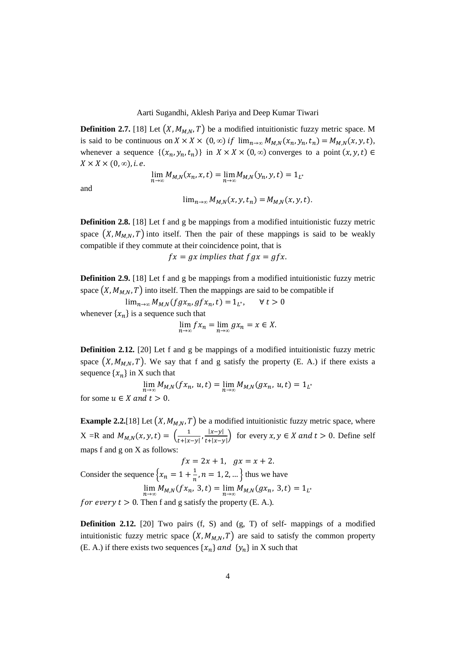**Definition 2.7.** [18] Let  $(X, M_{M,N}, T)$  be a modified intuitionistic fuzzy metric space. M is said to be continuous on  $X \times X \times (0, \infty)$  if  $\lim_{n\to\infty} M_{M,N}(x_n, y_n, t_n) = M_{M,N}(x, y, t)$ , whenever a sequence  $\{(x_n, y_n, t_n)\}\$ in  $X \times X \times (0, \infty)$  converges to a point  $(x, y, t) \in$  $X \times X \times (0, \infty)$ , *i.e.* 

$$
\lim_{n\to\infty}M_{M,N}(x_n,x,t)=\lim_{n\to\infty}M_{M,N}(y_n,y,t)=1_{L^*}
$$

and

$$
\lim_{n\to\infty}M_{M,N}(x,y,t_n)=M_{M,N}(x,y,t).
$$

**Definition 2.8.** [18] Let f and g be mappings from a modified intuitionistic fuzzy metric space  $(X, M_{M,N}, T)$  into itself. Then the pair of these mappings is said to be weakly compatible if they commute at their coincidence point, that is 

 $fx = gx$  implies that  $fgx = gfx$ .

**Definition 2.9.** [18] Let f and g be mappings from a modified intuitionistic fuzzy metric space  $(X, M_{MN}, T)$  into itself. Then the mappings are said to be compatible if

 $\lim_{n\to\infty} M_{M,N}(fgx_n, gfx_n, t) = 1_{L^*}, \quad \forall t > 0$ whenever  $\{x_n\}$  is a sequence such that

$$
\lim_{n \to \infty} f x_n = \lim_{n \to \infty} g x_n = x \in X.
$$

**Definition 2.12.** [20] Let f and g be mappings of a modified intuitionistic fuzzy metric space  $(X, M_{M,N}, T)$ . We say that f and g satisfy the property (E. A.) if there exists a sequence  $\{x_n\}$  in X such that

 $\lim_{n \to \infty} M_{M,N}(fx_n, u, t) = \lim_{n \to \infty} M_{M,N}(gx_n, u, t) = 1_{L^*}$ for some  $u \in X$  and  $t > 0$ .

**Example 2.2.**[18] Let  $(X, M_{M,N}, T)$  be a modified intuitionistic fuzzy metric space, where  $X = R$  and  $M_{M,N}(x, y, t) = \left(\frac{1}{t+|x-y|}, \frac{|x-y|}{t+|x-y|}\right)$  $\frac{|x-y|}{|x|+|x-y|}$  for every  $x, y \in X$  and  $t > 0$ . Define self maps f and g on X as follows:

$$
fx = 2x + 1, \quad gx = x + 2.
$$
  
Consider the sequence  $\{x_n = 1 + \frac{1}{n}, n = 1, 2, ...\}$  thus we have  

$$
\lim_{n \to \infty} M_{M,N}(fx_n, 3, t) = \lim_{n \to \infty} M_{M,N}(gx_n, 3, t) = 1_{L^*}
$$
  
for every  $t > 0$ . Then f and g satisfy the property (E. A.).

**Definition 2.12.** [20] Two pairs (f, S) and (g, T) of self- mappings of a modified intuitionistic fuzzy metric space  $(X, M_{M,N}, T)$  are said to satisfy the common property (E. A.) if there exists two sequences  $\{x_n\}$  and  $\{y_n\}$  in X such that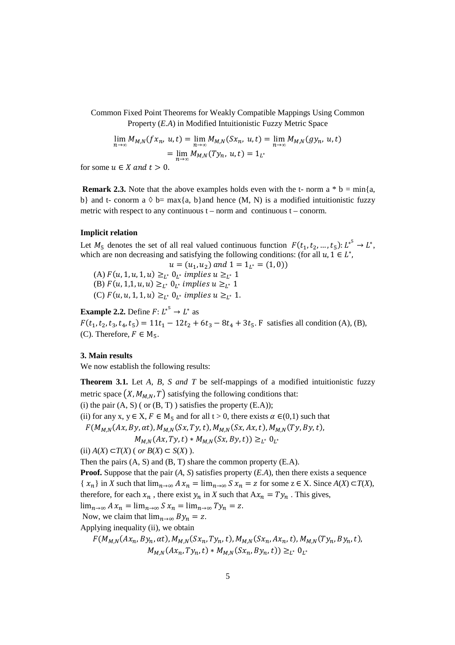$$
\lim_{n \to \infty} M_{M,N}(f x_n, u, t) = \lim_{n \to \infty} M_{M,N}(S x_n, u, t) = \lim_{n \to \infty} M_{M,N}(g y_n, u, t)
$$

$$
= \lim_{n \to \infty} M_{M,N}(T y_n, u, t) = 1_{L^*}
$$

for some  $u \in X$  and  $t > 0$ .

**Remark 2.3.** Note that the above examples holds even with the t- norm a  $*$  b = min{a, b} and t- conorm a  $\Diamond$  b= max{a, b}and hence (M, N) is a modified intuitionistic fuzzy metric with respect to any continuous  $t -$  norm and continuous  $t -$  conorm.

### **Implicit relation**

Let  $M_5$  denotes the set of all real valued continuous function  $F(t_1, t_2, ..., t_5): L^{*5} \to L^{*}$ , which are non decreasing and satisfying the following conditions: (for all  $u, 1 \in L^*$ ,

 $u = (u_1, u_2)$  and  $1 = 1_{L^*} = (1, 0)$ (A)  $F(u, 1, u, 1, u) \geq_{L^*} 0_{L^*}$  implies  $u \geq_{L^*} 1$ (B)  $F(u, 1,1, u, u) \geq_{L^*} 0_{L^*}$  implies  $u \geq_{L^*} 1$ (C)  $F(u, u, 1, 1, u) \geq_{L^*} 0_{L^*}$  implies  $u \geq_{L^*} 1$ .

**Example 2.2.** Define  $F: L^{*^5} \to L^*$  as  $F(t_1, t_2, t_3, t_4, t_5) = 11t_1 - 12t_2 + 6t_3 - 8t_4 + 3t_5$ . F satisfies all condition (A), (B), (C). Therefore,  $F \in M_{\pi}$ .

## **3. Main results**

We now establish the following results:

**Theorem 3.1.** Let *A*, *B*, *S and T* be self-mappings of a modified intuitionistic fuzzy metric space  $(X, M_{M,N}, T)$  satisfying the following conditions that: (i) the pair  $(A, S)$  ( or  $(B, T)$  ) satisfies the property  $(E.A)$ ); (ii) for any x,  $y \in X$ ,  $F \in M_5$  and for all  $t > 0$ , there exists  $\alpha \in (0,1)$  such that  $F(M_{M,N}(Ax, By, \alpha t), M_{M,N}(Sx, Ty, t), M_{M,N}(Sx, Ax, t), M_{M,N}(Ty, By, t),$  $M_{M,N}(Ax, Ty, t) * M_{M,N}(Sx, By, t)) \geq_{L^*} 0_L$ <sup>∗</sup> (ii)  $A(X)$  ⊂*T*(*X*) ( *or B*(*X*) ⊂ *S*(*X*) ). Then the pairs (A, S) and (B, T) share the common property (E.A). **Proof.** Suppose that the pair (*A*, *S*) satisfies property (*E.A*), then there exists a sequence  $\{x_n\}$  in *X* such that  $\lim_{n\to\infty} A x_n = \lim_{n\to\infty} S x_n = z$  for some  $z \in X$ . Since  $A(X) \subset T(X)$ , therefore, for each  $x_n$ , there exist  $y_n$  in *X* such that  $Ax_n = Ty_n$ . This gives,

$$
\lim_{n\to\infty} A x_n = \lim_{n\to\infty} S x_n = \lim_{n\to\infty} T y_n = z.
$$

Now, we claim that  $\lim_{n\to\infty} By_n = z$ .

Applying inequality (ii), we obtain

$$
F(M_{M,N}(Ax_n, By_n, \alpha t), M_{M,N}(Sx_n, Ty_n, t), M_{M,N}(Sx_n, Ax_n, t), M_{M,N}(Ty_n, By_n, t), M_{M,N}(Ax_n, Ty_n, t) * M_{M,N}(Sx_n, By_n, t)) \geq_{L^*} 0_{L^*}
$$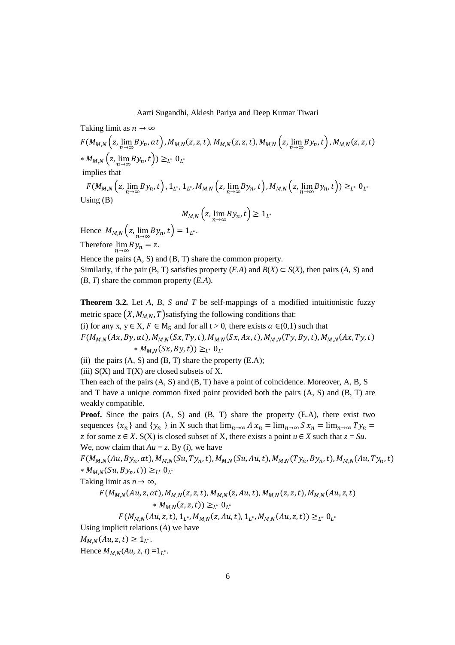Taking limit as 
$$
n \to \infty
$$
  
\n
$$
F(M_{M,N} (z, \lim_{n \to \infty} By_n, \alpha t), M_{M,N} (z, z, t), M_{M,N} (z, z, t), M_{M,N} (z, \lim_{n \to \infty} By_n, t), M_{M,N} (z, z, t)
$$
\n\*  $M_{M,N} (z, \lim_{n \to \infty} By_n, t)) \ge_{L^*} 0_{L^*}$   
\nimplies that  
\n
$$
F(M_{M,N} (z, \lim_{n \to \infty} By_n, t), 1_{L^*}, 1_{L^*}, M_{M,N} (z, \lim_{n \to \infty} By_n, t), M_{M,N} (z, \lim_{n \to \infty} By_n, t)) \ge_{L^*} 0_{L^*}
$$
  
\nUsing (B)  
\n
$$
M_{M,N} (z, \lim_{n \to \infty} By_n, t) \ge 1_{L^*}
$$

Hence  $M_{M,N} (z, \lim_{n \to \infty} By_n, t) = 1_{L^*}.$ Therefore  $\lim_{n\to\infty} By_n = z$ .

Hence the pairs (A, S) and (B, T) share the common property.

Similarly, if the pair (B, T) satisfies property  $(E.A)$  and  $B(X) \subset S(X)$ , then pairs (*A, S*) and (*B, T*) share the common property (*E.A*).

**Theorem 3.2.** Let *A*, *B*, *S and T* be self-mappings of a modified intuitionistic fuzzy metric space  $(X, M_{M,N}, T)$  satisfying the following conditions that:

(i) for any x,  $y \in X$ ,  $F \in M_5$  and for all  $t > 0$ , there exists  $\alpha \in (0,1)$  such that

 $F(M_{M,N}(Ax, By, \alpha t), M_{M,N}(Sx, Ty, t), M_{M,N}(Sx, Ax, t), M_{M,N}(Ty, By, t), M_{M,N}(Ax, Ty, t)$ \*  $M_{M,N}(Sx, By, t)) \geq_{L^*} 0_{L^*}$ 

(ii) the pairs  $(A, S)$  and  $(B, T)$  share the property  $(E.A)$ ;

(iii)  $S(X)$  and  $T(X)$  are closed subsets of X.

Then each of the pairs (A, S) and (B, T) have a point of coincidence. Moreover, A, B, S and  $T$  have a unique common fixed point provided both the pairs  $(A, S)$  and  $(B, T)$  are weakly compatible.

**Proof.** Since the pairs (A, S) and (B, T) share the property (E.A), there exist two sequences  $\{x_n\}$  and  $\{y_n\}$  in X such that  $\lim_{n\to\infty} A x_n = \lim_{n\to\infty} S x_n = \lim_{n\to\infty} T y_n =$ z for some  $z \in X$ . S(X) is closed subset of X, there exists a point  $u \in X$  such that  $z = Su$ . We, now claim that  $Au = z$ . By (i), we have

 $F(M_{M,N}(Au, By_n, \alpha t), M_{M,N}(Su, Ty_n, t), M_{M,N}(Su, Au, t), M_{M,N}(Ty_n, By_n, t), M_{M,N}(Au, Ty_n, t)$ \*  $M_{M,N}(Su, By_n, t)) \geq_{L^*} 0_{L^*}$ 

Taking limit as  $n \to \infty$ ,

$$
F(M_{M,N}(Au, z, \alpha t), M_{M,N}(z, z, t), M_{M,N}(z, Au, t), M_{M,N}(z, z, t), M_{M,N}(Au, z, t))
$$
  
 
$$
* M_{M,N}(z, z, t)) \geq_{L^*} 0_L
$$
  
 
$$
F(M_{M,N}(Au, z, t), 1, M_{M,N}(z, Au, t), 1, M_{M,N}(Au, z, t)) > 0
$$

$$
F(M_{M,N}(Au,z,t),1_{L^*},M_{M,N}(z,Au,t),1_{L^*},M_{M,N}(Au,z,t)) \geq_{L^*} 0_{L^*}
$$

Using implicit relations (*A*) we have  $M_{M,N}(Au, z, t) \geq 1_{L^*}.$ 

Hence  $M_{M,N}(Au, z, t) = 1_{L^*}.$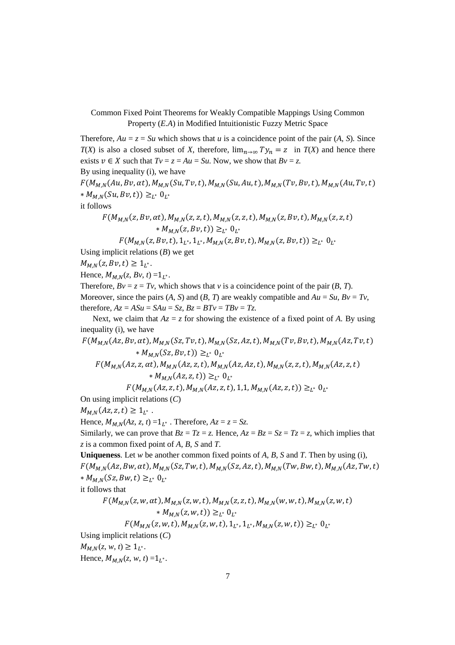Therefore,  $Au = z = Su$  which shows that *u* is a coincidence point of the pair (*A, S*). Since *T*(*X*) is also a closed subset of *X*, therefore,  $\lim_{n\to\infty} Ty_n = z$  in *T*(*X*) and hence there exists  $v \in X$  such that  $Tv = z = Au = Su$ . Now, we show that  $Bv = z$ .

By using inequality (i), we have

 $F(M_{M,N}(Au, Bv, \alpha t), M_{M,N}(Su, Tv, t), M_{M,N}(Su, Au, t), M_{M,N}(Tv, Bv, t), M_{M,N}(Au, Tv, t)$ \*  $M_{M,N}(Su, Bv, t)) \geq_{L^*} 0_{L^*}$ 

it follows

$$
F(M_{M,N}(z, Bv, \alpha t), M_{M,N}(z, z, t), M_{M,N}(z, z, t), M_{M,N}(z, Bv, t), M_{M,N}(z, z, t) * M_{M,N}(z, Bv, t)) \geq_{L^*} 0_{L^*}
$$

 $F(M_{M,N}(z, Bv, t), 1_{L^*}, 1_{L^*}, M_{M,N}(z, Bv, t), M_{M,N}(z, Bv, t)) \geq_{L^*} 0_{L^*}$ 

Using implicit relations (*B*) we get

 $M_{M,N}(z, Bv, t) \geq 1_{L^*}.$ 

Hence,  $M_{M,N}(z, Bv, t) = 1_{L^*}.$ 

Therefore,  $Bv = z = Tv$ , which shows that *v* is a coincidence point of the pair (*B*, *T*). Moreover, since the pairs  $(A, S)$  and  $(B, T)$  are weakly compatible and  $Au = Su$ ,  $Bv = Tv$ , therefore,  $Az = ASu = SAu = Sz$ ,  $Bz = BTv = TBv = Tz$ .

Next, we claim that  $Az = z$  for showing the existence of a fixed point of *A*. By using inequality (i), we have

$$
F(M_{M,N}(Az, Bv, \alpha t), M_{M,N}(Sz, Tv, t), M_{M,N}(Sz, Az, t), M_{M,N}(Tv, Bv, t), M_{M,N}(Az, Tv, t)+ M_{M,N}(Sz, Bv, t)) \ge_{L^*} 0_L^*
$$
  

$$
F(M_{M,N}(Az, z, \alpha t), M_{M,N}(Az, z, t), M_{M,N}(Az, Az, t), M_{M,N}(z, z, t), M_{M,N}(Az, z, t)+ M_{M,N}(Az, z, t)) \ge_{L^*} 0_L^*
$$

 $F(M_{M,N}(Az,z,t), M_{M,N}(Az,z,t), 1,1, M_{M,N}(Az,z,t)) \geq_{L^*} 0_{L^*}$ 

On using implicit relations (*C*)

 $M_{M,N}(Az, z, t) \geq 1_{L^*}.$ 

Hence,  $M_{M,N}(Az, z, t) = 1_{L^*}$ . Therefore,  $Az = z = Sz$ .

Similarly, we can prove that  $Bz = Tz = z$ . Hence,  $Az = Bz = Sz = Tz = z$ , which implies that *z* is a common fixed point of *A*, *B*, *S* and *T*.

**Uniqueness**. Let *w* be another common fixed points of *A*, *B*, *S* and *T*. Then by using (i),  $F(M_{MN}(Az, Bw, \alpha t), M_{MN}(Sz, Tw, t), M_{MN}(Sz, Az, t), M_{MN}(Tw, Bw, t), M_{MN}(Az, Tw, t)$ \*  $M_{M,N}(Sz, Bw, t) \geq_{L^*} 0_{L^*}$ 

it follows that

$$
F(M_{M,N}(z, w, \alpha t), M_{M,N}(z, w, t), M_{M,N}(z, z, t), M_{M,N}(w, w, t), M_{M,N}(z, w, t) * M_{M,N}(z, w, t)) \geq_{L^*} 0_{L^*}
$$

$$
F(M_{M,N}(z,w,t), M_{M,N}(z,w,t), 1_{L^*}, 1_{L^*}, M_{M,N}(z,w,t)) \geq_{L^*} 0_{L^*}
$$

Using implicit relations (*C*)

 $M_{M,N}(z, w, t) \geq 1_{L^*}.$ 

Hence,  $M_{M,N}(z, w, t) = 1_{L^*}.$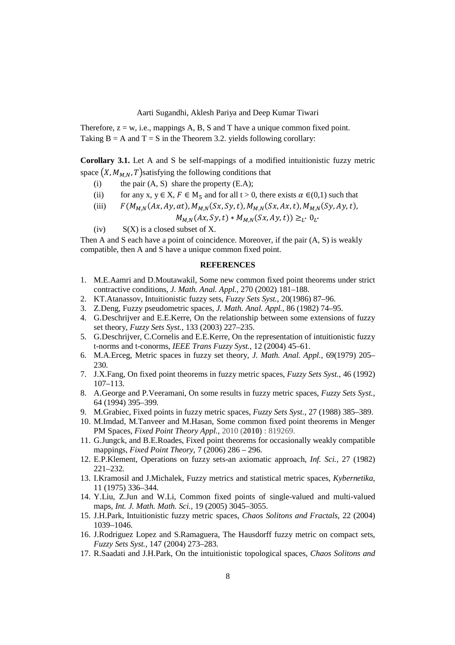Therefore,  $z = w$ , i.e., mappings A, B, S and T have a unique common fixed point. Taking  $B = A$  and  $T = S$  in the Theorem 3.2. yields following corollary:

**Corollary 3.1.** Let A and S be self-mappings of a modified intuitionistic fuzzy metric space  $(X, M_{MN}, T)$  satisfying the following conditions that

- (i) the pair  $(A, S)$  share the property  $(E.A)$ ;
- (ii) for any x,  $y \in X$ ,  $F \in M_5$  and for all  $t > 0$ , there exists  $\alpha \in (0,1)$  such that
- (iii)  $F(M_{MN}(Ax, Ay, \alpha t), M_{MN}(Sx, Sy, t), M_{MN}(Sx, Ax, t), M_{MN}(Sy, Ay, t),$

$$
M_{M,N}(Ax, Sy, t) * M_{M,N}(Sx, Ay, t)) \geq_{L^*} 0_{L^*}
$$

(iv)  $S(X)$  is a closed subset of X.

Then A and S each have a point of coincidence. Moreover, if the pair (A, S) is weakly compatible, then A and S have a unique common fixed point.

## **REFERENCES**

- 1. M.E.Aamri and D.Moutawakil, Some new common fixed point theorems under strict contractive conditions, *J. Math. Anal. Appl.*, 270 (2002) 181–188.
- 2. KT.Atanassov, Intuitionistic fuzzy sets, *Fuzzy Sets Syst.*, 20(1986) 87–96.
- 3. Z.Deng, Fuzzy pseudometric spaces, *J. Math. Anal. Appl.,* 86 (1982) 74–95.
- 4. G.Deschrijver and E.E.Kerre, On the relationship between some extensions of fuzzy set theory, *Fuzzy Sets Syst.*, 133 (2003) 227–235.
- 5. G.Deschrijver, C.Cornelis and E.E.Kerre, On the representation of intuitionistic fuzzy t-norms and t-conorms, *IEEE Trans Fuzzy Syst.*, 12 (2004) 45–61.
- 6. M.A.Erceg, Metric spaces in fuzzy set theory, *J. Math. Anal. Appl.,* 69(1979) 205– 230.
- 7. J.X.Fang, On fixed point theorems in fuzzy metric spaces, *Fuzzy Sets Syst.,* 46 (1992) 107–113.
- 8. A.George and P.Veeramani, On some results in fuzzy metric spaces, *Fuzzy Sets Syst.*, 64 (1994) 395–399.
- 9. M.Grabiec, Fixed points in fuzzy metric spaces, *Fuzzy Sets Syst.*, 27 (1988) 385–389.
- 10. M.Imdad, M.Tanveer and M.Hasan, Some common fixed point theorems in Menger PM Spaces, *Fixed Point Theory Appl.*, 2010 (**2010)** : 819269.
- 11. G.Jungck, and B.E.Roades, Fixed point theorems for occasionally weakly compatible mappings, *Fixed Point Theory*, 7 (2006) 286 – 296.
- 12. E.P.Klement, Operations on fuzzy sets-an axiomatic approach, *Inf. Sci.,* 27 (1982) 221–232.
- 13. I.Kramosil and J.Michalek, Fuzzy metrics and statistical metric spaces, *Kybernetika,* 11 (1975) 336–344.
- 14. Y.Liu, Z.Jun and W.Li, Common fixed points of single-valued and multi-valued maps, *Int. J. Math. Math. Sci.,* 19 (2005) 3045–3055.
- 15. J.H.Park, Intuitionistic fuzzy metric spaces, *Chaos Solitons and Fractals*, 22 (2004) 1039–1046.
- 16. J.Rodriguez Lopez and S.Ramaguera, The Hausdorff fuzzy metric on compact sets, *Fuzzy Sets Syst.*, 147 (2004) 273–283.
- 17. R.Saadati and J.H.Park, On the intuitionistic topological spaces, *Chaos Solitons and*